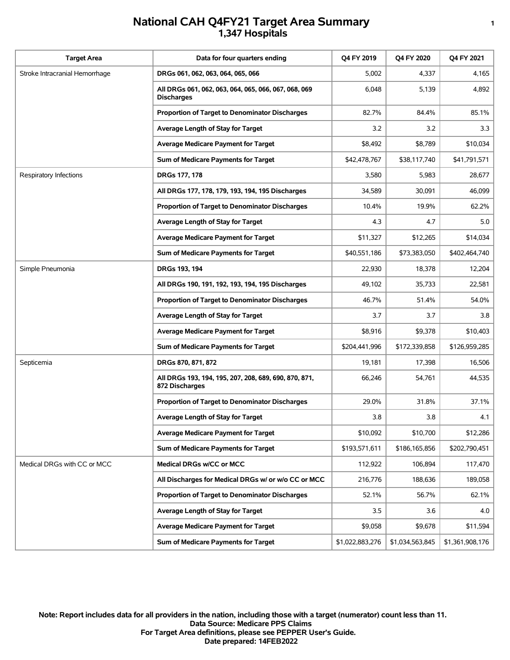## **National CAH Q4FY21 Target Area Summary <sup>1</sup> 1,347 Hospitals**

| <b>Target Area</b>             | Data for four quarters ending                                             | Q4 FY 2019      | <b>Q4 FY 2020</b> | Q4 FY 2021      |
|--------------------------------|---------------------------------------------------------------------------|-----------------|-------------------|-----------------|
| Stroke Intracranial Hemorrhage | DRGs 061, 062, 063, 064, 065, 066                                         | 5,002           | 4,337             | 4,165           |
|                                | All DRGs 061, 062, 063, 064, 065, 066, 067, 068, 069<br><b>Discharges</b> | 6,048           | 5,139             | 4,892           |
|                                | Proportion of Target to Denominator Discharges                            | 82.7%           | 84.4%             | 85.1%           |
|                                | Average Length of Stay for Target                                         | 3.2             | 3.2               | 3.3             |
|                                | <b>Average Medicare Payment for Target</b>                                | \$8,492         | \$8,789           | \$10,034        |
|                                | Sum of Medicare Payments for Target                                       | \$42,478,767    | \$38,117,740      | \$41,791,571    |
| Respiratory Infections         | DRGs 177, 178                                                             | 3,580           | 5,983             | 28,677          |
|                                | All DRGs 177, 178, 179, 193, 194, 195 Discharges                          | 34,589          | 30,091            | 46,099          |
|                                | Proportion of Target to Denominator Discharges                            | 10.4%           | 19.9%             | 62.2%           |
|                                | Average Length of Stay for Target                                         | 4.3             | 4.7               | 5.0             |
|                                | <b>Average Medicare Payment for Target</b>                                | \$11,327        | \$12,265          | \$14,034        |
|                                | Sum of Medicare Payments for Target                                       | \$40,551,186    | \$73,383,050      | \$402,464,740   |
| Simple Pneumonia               | DRGs 193, 194                                                             | 22,930          | 18,378            | 12,204          |
|                                | All DRGs 190, 191, 192, 193, 194, 195 Discharges                          | 49,102          | 35,733            | 22,581          |
|                                | Proportion of Target to Denominator Discharges                            | 46.7%           | 51.4%             | 54.0%           |
|                                | Average Length of Stay for Target                                         | 3.7             | 3.7               | 3.8             |
|                                | <b>Average Medicare Payment for Target</b>                                | \$8,916         | \$9,378           | \$10,403        |
|                                | Sum of Medicare Payments for Target                                       | \$204,441,996   | \$172,339,858     | \$126,959,285   |
| Septicemia                     | DRGs 870, 871, 872                                                        | 19,181          | 17,398            | 16,506          |
|                                | All DRGs 193, 194, 195, 207, 208, 689, 690, 870, 871,<br>872 Discharges   | 66,246          | 54,761            | 44,535          |
|                                | Proportion of Target to Denominator Discharges                            | 29.0%           | 31.8%             | 37.1%           |
|                                | Average Length of Stay for Target                                         | 3.8             | 3.8               | 4.1             |
|                                | Average Medicare Payment for Target                                       | \$10,092        | \$10,700          | \$12,286        |
|                                | Sum of Medicare Payments for Target                                       | \$193,571,611   | \$186,165,856     | \$202,790,451   |
| Medical DRGs with CC or MCC    | Medical DRGs w/CC or MCC                                                  | 112,922         | 106,894           | 117,470         |
|                                | All Discharges for Medical DRGs w/ or w/o CC or MCC                       | 216,776         | 188,636           | 189,058         |
|                                | Proportion of Target to Denominator Discharges                            | 52.1%           | 56.7%             | 62.1%           |
|                                | Average Length of Stay for Target                                         | 3.5             | 3.6               | 4.0             |
|                                | <b>Average Medicare Payment for Target</b>                                | \$9,058         | \$9,678           | \$11,594        |
|                                | Sum of Medicare Payments for Target                                       | \$1,022,883,276 | \$1,034,563,845   | \$1,361,908,176 |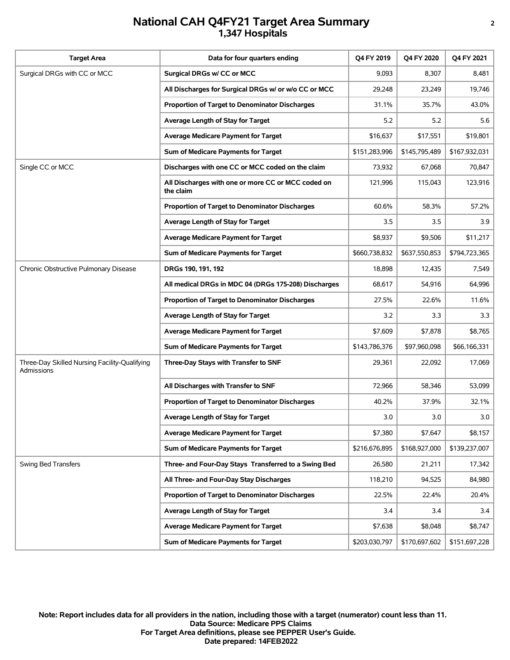## **National CAH Q4FY21 Target Area Summary <sup>2</sup> 1,347 Hospitals**

| <b>Target Area</b>                                          | Data for four quarters ending                                   | Q4 FY 2019    | Q4 FY 2020    | Q4 FY 2021    |
|-------------------------------------------------------------|-----------------------------------------------------------------|---------------|---------------|---------------|
| Surgical DRGs with CC or MCC                                | Surgical DRGs w/ CC or MCC                                      | 9,093         | 8,307         | 8,481         |
|                                                             | All Discharges for Surgical DRGs w/ or w/o CC or MCC            | 29,248        | 23,249        | 19,746        |
|                                                             | <b>Proportion of Target to Denominator Discharges</b>           | 31.1%         | 35.7%         | 43.0%         |
|                                                             | Average Length of Stay for Target                               | 5.2           | 5.2           | 5.6           |
|                                                             | <b>Average Medicare Payment for Target</b>                      | \$16,637      | \$17,551      | \$19,801      |
|                                                             | Sum of Medicare Payments for Target                             | \$151,283,996 | \$145,795,489 | \$167,932,031 |
| Single CC or MCC                                            | Discharges with one CC or MCC coded on the claim                | 73,932        | 67,068        | 70,847        |
|                                                             | All Discharges with one or more CC or MCC coded on<br>the claim | 121,996       | 115,043       | 123,916       |
|                                                             | Proportion of Target to Denominator Discharges                  | 60.6%         | 58.3%         | 57.2%         |
|                                                             | Average Length of Stay for Target                               | 3.5           | 3.5           | 3.9           |
|                                                             | <b>Average Medicare Payment for Target</b>                      | \$8,937       | \$9,506       | \$11,217      |
|                                                             | Sum of Medicare Payments for Target                             | \$660,738,832 | \$637,550,853 | \$794,723,365 |
| Chronic Obstructive Pulmonary Disease                       | DRGs 190, 191, 192                                              | 18,898        | 12,435        | 7,549         |
|                                                             | All medical DRGs in MDC 04 (DRGs 175-208) Discharges            | 68,617        | 54,916        | 64,996        |
|                                                             | Proportion of Target to Denominator Discharges                  | 27.5%         | 22.6%         | 11.6%         |
|                                                             | Average Length of Stay for Target                               | 3.2           | 3.3           | 3.3           |
|                                                             | Average Medicare Payment for Target                             | \$7,609       | \$7,878       | \$8,765       |
|                                                             | Sum of Medicare Payments for Target                             | \$143,786,376 | \$97,960,098  | \$66,166,331  |
| Three-Day Skilled Nursing Facility-Qualifying<br>Admissions | Three-Day Stays with Transfer to SNF                            | 29,361        | 22,092        | 17,069        |
|                                                             | All Discharges with Transfer to SNF                             | 72,966        | 58.346        | 53,099        |
|                                                             | <b>Proportion of Target to Denominator Discharges</b>           | 40.2%         | 37.9%         | 32.1%         |
|                                                             | Average Length of Stay for Target                               | 3.0           | 3.0           | 3.0           |
|                                                             | <b>Average Medicare Payment for Target</b>                      | \$7,380       | \$7,647       | \$8,157       |
|                                                             | Sum of Medicare Payments for Target                             | \$216,676,895 | \$168,927,000 | \$139,237,007 |
| Swing Bed Transfers                                         | Three- and Four-Day Stays Transferred to a Swing Bed            | 26,580        | 21,211        | 17,342        |
|                                                             | All Three- and Four-Day Stay Discharges                         | 118,210       | 94,525        | 84,980        |
|                                                             | Proportion of Target to Denominator Discharges                  | 22.5%         | 22.4%         | 20.4%         |
|                                                             | Average Length of Stay for Target                               | 3.4           | 3.4           | 3.4           |
|                                                             | <b>Average Medicare Payment for Target</b>                      | \$7,638       | \$8,048       | \$8,747       |
|                                                             | Sum of Medicare Payments for Target                             | \$203,030,797 | \$170,697,602 | \$151,697,228 |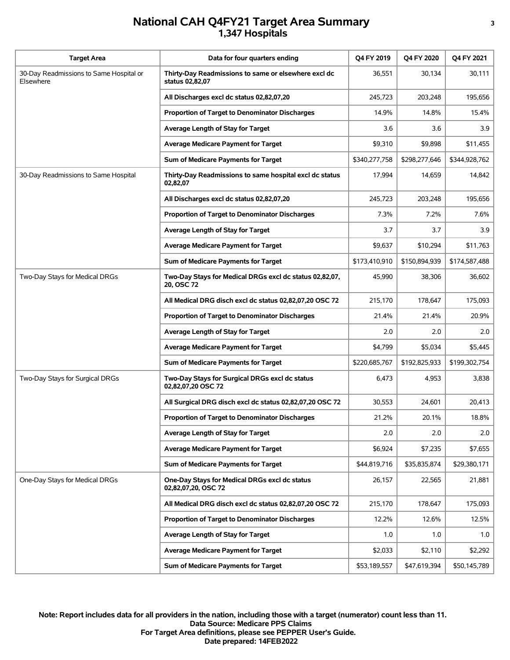## **National CAH Q4FY21 Target Area Summary <sup>3</sup> 1,347 Hospitals**

| <b>Target Area</b>                                   | Data for four quarters ending                                           | Q4 FY 2019    | O4 FY 2020    | Q4 FY 2021    |
|------------------------------------------------------|-------------------------------------------------------------------------|---------------|---------------|---------------|
| 30-Day Readmissions to Same Hospital or<br>Elsewhere | Thirty-Day Readmissions to same or elsewhere excl dc<br>status 02,82,07 | 36,551        | 30,134        | 30,111        |
|                                                      | All Discharges excl dc status 02,82,07,20                               | 245,723       | 203,248       | 195,656       |
|                                                      | Proportion of Target to Denominator Discharges                          | 14.9%         | 14.8%         | 15.4%         |
|                                                      | Average Length of Stay for Target                                       | 3.6           | 3.6           | 3.9           |
|                                                      | <b>Average Medicare Payment for Target</b>                              | \$9,310       | \$9,898       | \$11,455      |
|                                                      | Sum of Medicare Payments for Target                                     | \$340,277,758 | \$298,277,646 | \$344,928,762 |
| 30-Day Readmissions to Same Hospital                 | Thirty-Day Readmissions to same hospital excl dc status<br>02,82,07     | 17,994        | 14,659        | 14,842        |
|                                                      | All Discharges excl dc status 02,82,07,20                               | 245,723       | 203,248       | 195,656       |
|                                                      | <b>Proportion of Target to Denominator Discharges</b>                   | 7.3%          | 7.2%          | 7.6%          |
|                                                      | Average Length of Stay for Target                                       | 3.7           | 3.7           | 3.9           |
|                                                      | <b>Average Medicare Payment for Target</b>                              | \$9,637       | \$10,294      | \$11,763      |
|                                                      | Sum of Medicare Payments for Target                                     | \$173,410,910 | \$150,894,939 | \$174,587,488 |
| Two-Day Stays for Medical DRGs                       | Two-Day Stays for Medical DRGs excl dc status 02,82,07,<br>20, OSC 72   | 45,990        | 38,306        | 36,602        |
|                                                      | All Medical DRG disch excl dc status 02,82,07,20 OSC 72                 | 215,170       | 178,647       | 175,093       |
|                                                      | Proportion of Target to Denominator Discharges                          | 21.4%         | 21.4%         | 20.9%         |
|                                                      | Average Length of Stay for Target                                       | 2.0           | 2.0           | 2.0           |
|                                                      | <b>Average Medicare Payment for Target</b>                              | \$4,799       | \$5,034       | \$5,445       |
|                                                      | Sum of Medicare Payments for Target                                     | \$220,685,767 | \$192,825,933 | \$199,302,754 |
| Two-Day Stays for Surgical DRGs                      | Two-Day Stays for Surgical DRGs excl dc status<br>02,82,07,20 OSC 72    | 6,473         | 4,953         | 3,838         |
|                                                      | All Surgical DRG disch excl dc status 02,82,07,20 OSC 72                | 30,553        | 24,601        | 20,413        |
|                                                      | Proportion of Target to Denominator Discharges                          | 21.2%         | 20.1%         | 18.8%         |
|                                                      | Average Length of Stay for Target                                       | 2.0           | 2.0           | 2.0           |
|                                                      | <b>Average Medicare Payment for Target</b>                              | \$6,924       | \$7,235       | \$7,655       |
|                                                      | Sum of Medicare Payments for Target                                     | \$44,819,716  | \$35,835,874  | \$29,380,171  |
| One-Day Stays for Medical DRGs                       | One-Day Stays for Medical DRGs excl dc status<br>02,82,07,20, OSC 72    | 26,157        | 22,565        | 21,881        |
|                                                      | All Medical DRG disch excl dc status 02,82,07,20 OSC 72                 | 215,170       | 178,647       | 175,093       |
|                                                      | Proportion of Target to Denominator Discharges                          | 12.2%         | 12.6%         | 12.5%         |
|                                                      | Average Length of Stay for Target                                       | 1.0           | 1.0           | 1.0           |
|                                                      | <b>Average Medicare Payment for Target</b>                              | \$2,033       | \$2,110       | \$2,292       |
|                                                      | Sum of Medicare Payments for Target                                     | \$53,189,557  | \$47,619,394  | \$50,145,789  |

**Date prepared: 14FEB2022 For Target Area definitions, please see PEPPER User's Guide. Data Source: Medicare PPS Claims Note: Report includes data for all providers in the nation, including those with a target (numerator) count less than 11.**